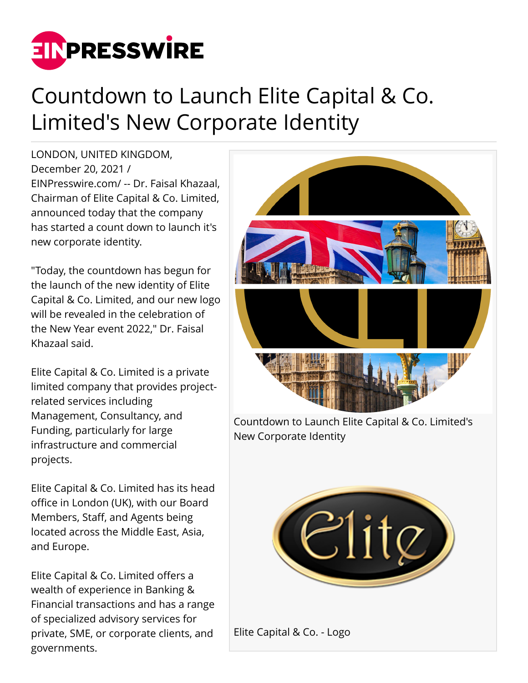

## Countdown to Launch Elite Capital & Co. Limited's New Corporate Identity

LONDON, UNITED KINGDOM, December 20, 2021 / [EINPresswire.com](http://www.einpresswire.com)/ -- Dr. Faisal Khazaal, Chairman of Elite Capital & Co. Limited, announced today that the company has started a count down to launch it's new corporate identity.

"Today, the countdown has begun for the launch of the new identity of Elite Capital & Co. Limited, and our new logo will be revealed in the celebration of the New Year event 2022," Dr. Faisal Khazaal said.

Elite Capital & Co. Limited is a private limited company that provides projectrelated services including Management, Consultancy, and Funding, particularly for large infrastructure and commercial projects.

Elite Capital & Co. Limited has its head office in London (UK), with our Board Members, Staff, and Agents being located across the Middle East, Asia, and Europe.

Elite Capital & Co. Limited offers a wealth of experience in Banking & Financial transactions and has a range of specialized advisory services for private, SME, or corporate clients, and governments.

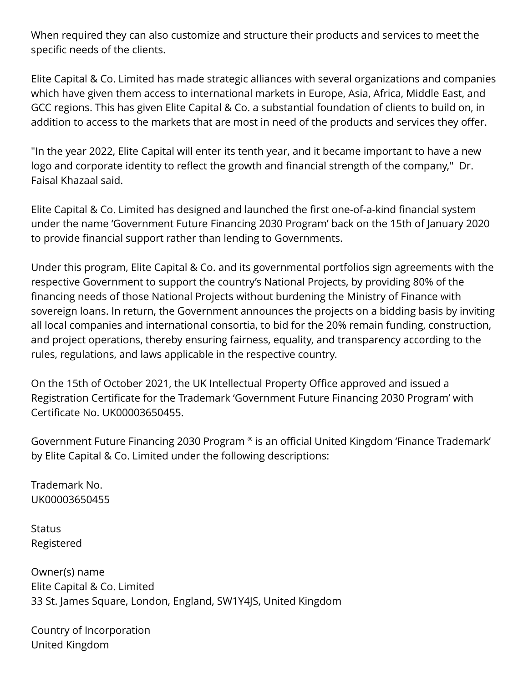When required they can also customize and structure their products and services to meet the specific needs of the clients.

Elite Capital & Co. Limited has made strategic alliances with several organizations and companies which have given them access to international markets in Europe, Asia, Africa, Middle East, and GCC regions. This has given Elite Capital & Co. a substantial foundation of clients to build on, in addition to access to the markets that are most in need of the products and services they offer.

"In the year 2022, Elite Capital will enter its tenth year, and it became important to have a new logo and corporate identity to reflect the growth and financial strength of the company," Dr. Faisal Khazaal said.

Elite Capital & Co. Limited has designed and launched the first one-of-a-kind financial system under the name 'Government Future Financing 2030 Program' back on the 15th of January 2020 to provide financial support rather than lending to Governments.

Under this program, Elite Capital & Co. and its governmental portfolios sign agreements with the respective Government to support the country's National Projects, by providing 80% of the financing needs of those National Projects without burdening the Ministry of Finance with sovereign loans. In return, the Government announces the projects on a bidding basis by inviting all local companies and international consortia, to bid for the 20% remain funding, construction, and project operations, thereby ensuring fairness, equality, and transparency according to the rules, regulations, and laws applicable in the respective country.

On the 15th of October 2021, the UK Intellectual Property Office approved and issued a Registration Certificate for the Trademark 'Government Future Financing 2030 Program' with Certificate No. UK00003650455.

Government Future Financing 2030 Program ® is an official United Kingdom 'Finance Trademark' by Elite Capital & Co. Limited under the following descriptions:

Trademark No. UK00003650455

**Status** Registered

Owner(s) name Elite Capital & Co. Limited 33 St. James Square, London, England, SW1Y4JS, United Kingdom

Country of Incorporation United Kingdom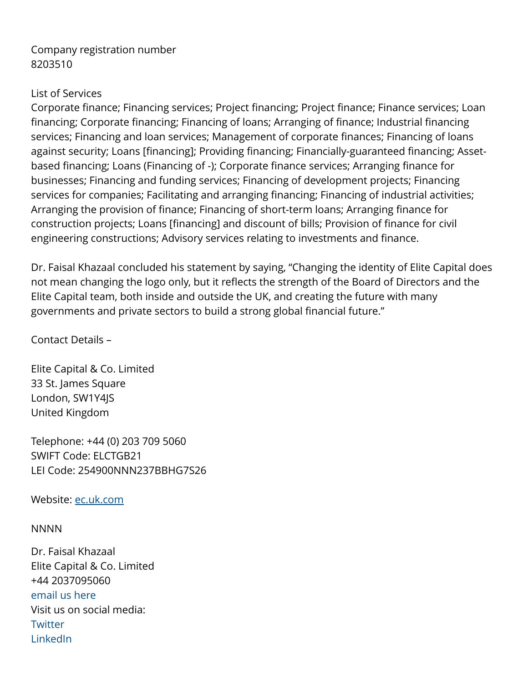## Company registration number 8203510

## List of Services

Corporate finance; Financing services; Project financing; Project finance; Finance services; Loan financing; Corporate financing; Financing of loans; Arranging of finance; Industrial financing services; Financing and loan services; Management of corporate finances; Financing of loans against security; Loans [financing]; Providing financing; Financially-guaranteed financing; Assetbased financing; Loans (Financing of -); Corporate finance services; Arranging finance for businesses; Financing and funding services; Financing of development projects; Financing services for companies; Facilitating and arranging financing; Financing of industrial activities; Arranging the provision of finance; Financing of short-term loans; Arranging finance for construction projects; Loans [financing] and discount of bills; Provision of finance for civil engineering constructions; Advisory services relating to investments and finance.

Dr. Faisal Khazaal concluded his statement by saying, "Changing the identity of Elite Capital does not mean changing the logo only, but it reflects the strength of the Board of Directors and the Elite Capital team, both inside and outside the UK, and creating the future with many governments and private sectors to build a strong global financial future."

Contact Details –

Elite Capital & Co. Limited 33 St. James Square London, SW1Y4JS United Kingdom

Telephone: +44 (0) 203 709 5060 SWIFT Code: ELCTGB21 LEI Code: 254900NNN237BBHG7S26

Website: [ec.uk.com](https://ec.uk.com)

NNNN

Dr. Faisal Khazaal Elite Capital & Co. Limited +44 2037095060 [email us here](http://www.einpresswire.com/contact_author/3220549) Visit us on social media: **[Twitter](https://twitter.com/EliteCapitalCo)** [LinkedIn](https://www.linkedin.com/company/elite-capital-co-limited)